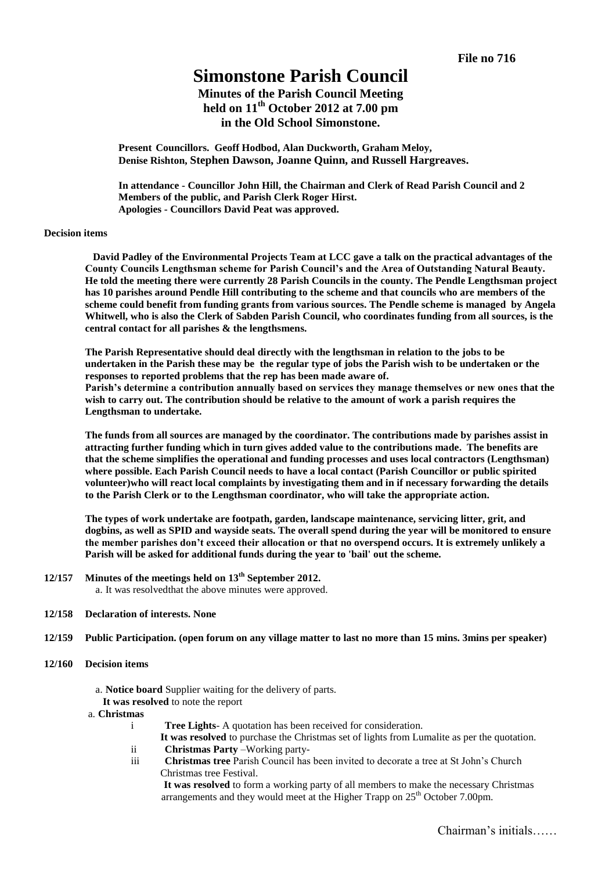# **Simonstone Parish Council**

**Minutes of the Parish Council Meeting held on 11 th October 2012 at 7.00 pm in the Old School Simonstone.**

**Present Councillors. Geoff Hodbod, Alan Duckworth, Graham Meloy, Denise Rishton, Stephen Dawson, Joanne Quinn, and Russell Hargreaves.**

**In attendance - Councillor John Hill, the Chairman and Clerk of Read Parish Council and 2 Members of the public, and Parish Clerk Roger Hirst. Apologies - Councillors David Peat was approved.**

#### **Decision items**

 **David Padley of the Environmental Projects Team at LCC gave a talk on the practical advantages of the County Councils Lengthsman scheme for Parish Council's and the Area of Outstanding Natural Beauty. He told the meeting there were currently 28 Parish Councils in the county. The Pendle Lengthsman project has 10 parishes around Pendle Hill contributing to the scheme and that councils who are members of the scheme could benefit from funding grants from various sources. The Pendle scheme is managed by Angela Whitwell, who is also the Clerk of Sabden Parish Council, who coordinates funding from all sources, is the central contact for all parishes & the lengthsmens.**

**The Parish Representative should deal directly with the lengthsman in relation to the jobs to be undertaken in the Parish these may be the regular type of jobs the Parish wish to be undertaken or the responses to reported problems that the rep has been made aware of.**

**Parish's determine a contribution annually based on services they manage themselves or new ones that the wish to carry out. The contribution should be relative to the amount of work a parish requires the Lengthsman to undertake.**

**The funds from all sources are managed by the coordinator. The contributions made by parishes assist in attracting further funding which in turn gives added value to the contributions made. The benefits are that the scheme simplifies the operational and funding processes and uses local contractors (Lengthsman) where possible. Each Parish Council needs to have a local contact (Parish Councillor or public spirited volunteer)who will react local complaints by investigating them and in if necessary forwarding the details to the Parish Clerk or to the Lengthsman coordinator, who will take the appropriate action.**

**The types of work undertake are footpath, garden, landscape maintenance, servicing litter, grit, and dogbins, as well as SPID and wayside seats. The overall spend during the year will be monitored to ensure the member parishes don't exceed their allocation or that no overspend occurs. It is extremely unlikely a Parish will be asked for additional funds during the year to 'bail' out the scheme.**

**12/157 Minutes of the meetings held on 13th September 2012.**

a. It was resolvedthat the above minutes were approved.

- **12/158 Declaration of interests. None**
- **12/159 Public Participation. (open forum on any village matter to last no more than 15 mins. 3mins per speaker)**
- **12/160 Decision items** 
	- a. **Notice board** Supplier waiting for the delivery of parts. **It was resolved** to note the report
	- a. **Christmas**
		- i **Tree Lights** A quotation has been received for consideration.
			- **It was resolved** to purchase the Christmas set of lights from Lumalite as per the quotation.
		- ii **Christmas Party Working party-**
		- iii **Christmas tree** Parish Council has been invited to decorate a tree at St John's Church Christmas tree Festival.

**It was resolved** to form a working party of all members to make the necessary Christmas arrangements and they would meet at the Higher Trapp on  $25<sup>th</sup>$  October 7.00pm.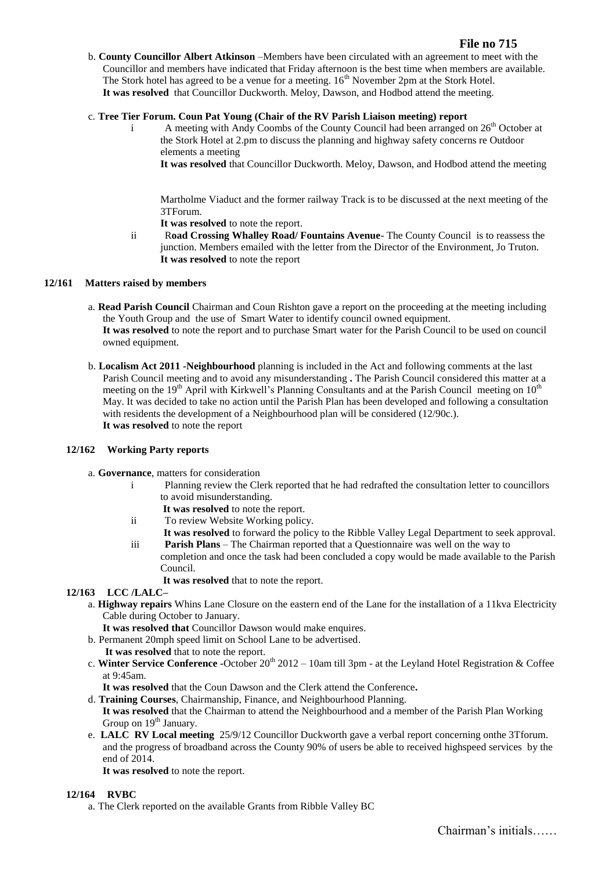b. **County Councillor Albert Atkinson** –Members have been circulated with an agreement to meet with the Councillor and members have indicated that Friday afternoon is the best time when members are available. The Stork hotel has agreed to be a venue for a meeting.  $16<sup>th</sup>$  November 2pm at the Stork Hotel. **It was resolved** that Councillor Duckworth. Meloy, Dawson, and Hodbod attend the meeting.

# c. **Tree Tier Forum. Coun Pat Young (Chair of the RV Parish Liaison meeting) report**

i A meeting with Andy Coombs of the County Council had been arranged on  $26<sup>th</sup>$  October at the Stork Hotel at 2.pm to discuss the planning and highway safety concerns re Outdoor elements a meeting

**It was resolved** that Councillor Duckworth. Meloy, Dawson, and Hodbod attend the meeting

Martholme Viaduct and the former railway Track is to be discussed at the next meeting of the 3TForum.

**It was resolved** to note the report.

ii R**oad Crossing Whalley Road/ Fountains Avenue**- The County Council is to reassess the junction. Members emailed with the letter from the Director of the Environment, Jo Truton. **It was resolved** to note the report

# **12/161 Matters raised by members**

- a. **Read Parish Council** Chairman and Coun Rishton gave a report on the proceeding at the meeting including the Youth Group and the use of Smart Water to identify council owned equipment. **It was resolved** to note the report and to purchase Smart water for the Parish Council to be used on council owned equipment.
- b. **Localism Act 2011 -Neighbourhood** planning is included in the Act and following comments at the last Parish Council meeting and to avoid any misunderstanding **.** The Parish Council considered this matter at a meeting on the 19<sup>th</sup> April with Kirkwell's Planning Consultants and at the Parish Council meeting on 10<sup>th</sup> May. It was decided to take no action until the Parish Plan has been developed and following a consultation with residents the development of a Neighbourhood plan will be considered (12/90c.). **It was resolved** to note the report

# **12/162 Working Party reports**

a. **Governance**, matters for consideration

- i Planning review the Clerk reported that he had redrafted the consultation letter to councillors to avoid misunderstanding.
	- **It was resolved** to note the report.
- ii To review Website Working policy.
- **It was resolved** to forward the policy to the Ribble Valley Legal Department to seek approval. iii **Parish Plans** – The Chairman reported that a Questionnaire was well on the way to
- completion and once the task had been concluded a copy would be made available to the Parish Council.

**It was resolved** that to note the report.

# **12/163 LCC /LALC–**

- a. **Highway repairs** Whins Lane Closure on the eastern end of the Lane for the installation of a 11kva Electricity Cable during October to January.
	- **It was resolved that** Councillor Dawson would make enquires.
- b. Permanent 20mph speed limit on School Lane to be advertised. **It was resolved** that to note the report.
- c. Winter Service Conference -October 20<sup>th</sup> 2012 10am till 3pm at the Leyland Hotel Registration & Coffee at 9:45am.

**It was resolved** that the Coun Dawson and the Clerk attend the Conference**.**

- d. **Training Courses**, Chairmanship, Finance, and Neighbourhood Planning. **It was resolved** that the Chairman to attend the Neighbourhood and a member of the Parish Plan Working Group on  $19<sup>th</sup>$  January.
- e. **LALC RV Local meeting** 25/9/12 Councillor Duckworth gave a verbal report concerning onthe 3Tforum. and the progress of broadband across the County 90% of users be able to received highspeed services by the end of 2014.

**It was resolved** to note the report.

# **12/164 RVBC**

a. The Clerk reported on the available Grants from Ribble Valley BC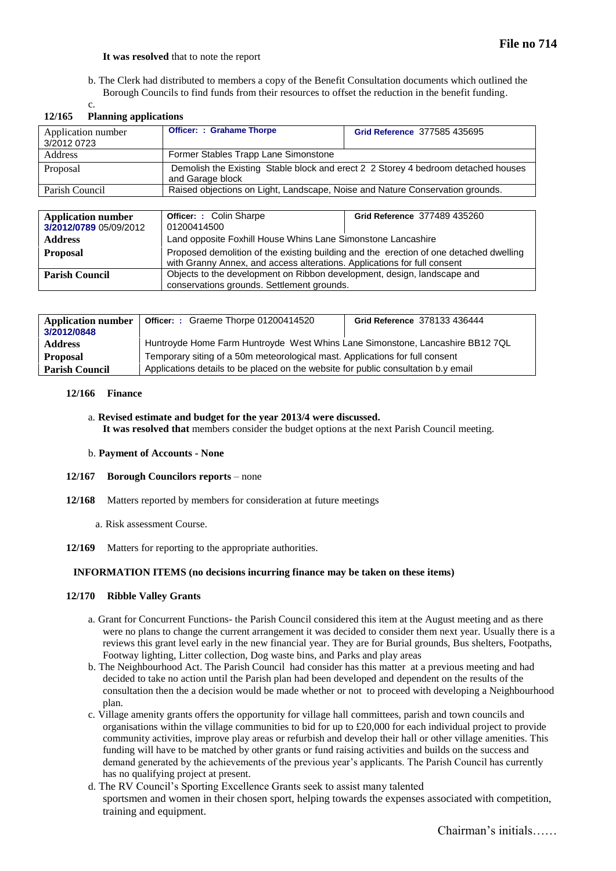#### **It was resolved** that to note the report

b. The Clerk had distributed to members a copy of the Benefit Consultation documents which outlined the Borough Councils to find funds from their resources to offset the reduction in the benefit funding.

| $12/103$ I fainting applications |                                                                                                       |                              |  |  |  |  |
|----------------------------------|-------------------------------------------------------------------------------------------------------|------------------------------|--|--|--|--|
| Application number               | <b>Officer: : Grahame Thorpe</b>                                                                      | Grid Reference 377585 435695 |  |  |  |  |
| 3/2012 0723                      |                                                                                                       |                              |  |  |  |  |
| <b>Address</b>                   | Former Stables Trapp Lane Simonstone                                                                  |                              |  |  |  |  |
| Proposal                         | Demolish the Existing Stable block and erect 2 2 Storey 4 bedroom detached houses<br>and Garage block |                              |  |  |  |  |
| Parish Council                   | Raised objections on Light, Landscape, Noise and Nature Conservation grounds.                         |                              |  |  |  |  |
|                                  |                                                                                                       |                              |  |  |  |  |

### **12/165 Planning applications**

c.

| <b>Application number</b><br>3/2012/0789 05/09/2012 | <b>Officer: : Colin Sharpe</b><br>01200414500                                                                                                                      | Grid Reference 377489 435260 |  |
|-----------------------------------------------------|--------------------------------------------------------------------------------------------------------------------------------------------------------------------|------------------------------|--|
| <b>Address</b>                                      | Land opposite Foxhill House Whins Lane Simonstone Lancashire                                                                                                       |                              |  |
| <b>Proposal</b>                                     | Proposed demolition of the existing building and the erection of one detached dwelling<br>with Granny Annex, and access alterations. Applications for full consent |                              |  |
| <b>Parish Council</b>                               | Objects to the development on Ribbon development, design, landscape and<br>conservations grounds. Settlement grounds.                                              |                              |  |

| Application number<br>3/2012/0848 | Officer: : Graeme Thorpe 01200414520                                               | Grid Reference 378133 436444 |  |
|-----------------------------------|------------------------------------------------------------------------------------|------------------------------|--|
| <b>Address</b>                    | Huntroyde Home Farm Huntroyde West Whins Lane Simonstone, Lancashire BB12 7QL      |                              |  |
| <b>Proposal</b>                   | Temporary siting of a 50m meteorological mast. Applications for full consent       |                              |  |
| <b>Parish Council</b>             | Applications details to be placed on the website for public consultation b.y email |                              |  |

# **12/166 Finance**

a. **Revised estimate and budget for the year 2013/4 were discussed. It was resolved that** members consider the budget options at the next Parish Council meeting.

#### b. **Payment of Accounts - None**

#### **12/167 Borough Councilors reports** – none

- **12/168** Matters reported by members for consideration at future meetings
	- a. Risk assessment Course.
- **12/169** Matters for reporting to the appropriate authorities.

# **INFORMATION ITEMS (no decisions incurring finance may be taken on these items)**

# **12/170 Ribble Valley Grants**

- a. Grant for Concurrent Functions- the Parish Council considered this item at the August meeting and as there were no plans to change the current arrangement it was decided to consider them next year. Usually there is a reviews this grant level early in the new financial year. They are for Burial grounds, Bus shelters, Footpaths, Footway lighting, Litter collection, Dog waste bins, and Parks and play areas
- b. The Neighbourhood Act. The Parish Council had consider has this matter at a previous meeting and had decided to take no action until the Parish plan had been developed and dependent on the results of the consultation then the a decision would be made whether or not to proceed with developing a Neighbourhood plan.
- c. Village amenity grants offers the opportunity for village hall committees, parish and town councils and organisations within the village communities to bid for up to £20,000 for each individual project to provide community activities, improve play areas or refurbish and develop their hall or other village amenities. This funding will have to be matched by other grants or fund raising activities and builds on the success and demand generated by the achievements of the previous year's applicants. The Parish Council has currently has no qualifying project at present.
- d. The RV Council's Sporting Excellence Grants seek to assist many talented sportsmen and women in their chosen sport, helping towards the expenses associated with competition, training and equipment.